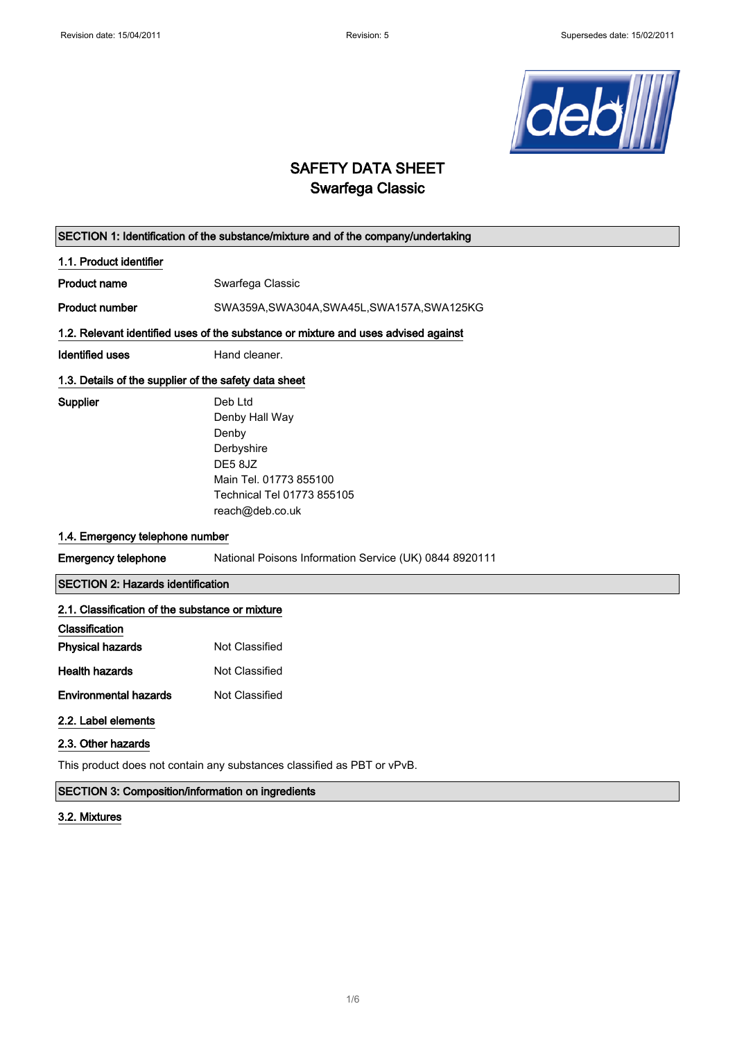

# SAFETY DATA SHEET Swarfega Classic

| SECTION 1: Identification of the substance/mixture and of the company/undertaking  |                                                                                                                                       |  |
|------------------------------------------------------------------------------------|---------------------------------------------------------------------------------------------------------------------------------------|--|
| 1.1. Product identifier                                                            |                                                                                                                                       |  |
| <b>Product name</b>                                                                | Swarfega Classic                                                                                                                      |  |
| <b>Product number</b>                                                              | SWA359A, SWA304A, SWA45L, SWA157A, SWA125KG                                                                                           |  |
| 1.2. Relevant identified uses of the substance or mixture and uses advised against |                                                                                                                                       |  |
| Identified uses                                                                    | Hand cleaner.                                                                                                                         |  |
| 1.3. Details of the supplier of the safety data sheet                              |                                                                                                                                       |  |
| Supplier                                                                           | Deb Ltd<br>Denby Hall Way<br>Denby<br>Derbyshire<br>DE58JZ<br>Main Tel. 01773 855100<br>Technical Tel 01773 855105<br>reach@deb.co.uk |  |
| 1.4. Emergency telephone number                                                    |                                                                                                                                       |  |
| <b>Emergency telephone</b>                                                         | National Poisons Information Service (UK) 0844 8920111                                                                                |  |
| <b>SECTION 2: Hazards identification</b>                                           |                                                                                                                                       |  |
| 2.1. Classification of the substance or mixture                                    |                                                                                                                                       |  |
| Classification<br><b>Physical hazards</b>                                          | Not Classified                                                                                                                        |  |
| <b>Health hazards</b>                                                              | Not Classified                                                                                                                        |  |
| <b>Environmental hazards</b>                                                       | Not Classified                                                                                                                        |  |
| 2.2. Label elements                                                                |                                                                                                                                       |  |
| 2.3. Other hazards                                                                 |                                                                                                                                       |  |

This product does not contain any substances classified as PBT or vPvB.

## SECTION 3: Composition/information on ingredients

### 3.2. Mixtures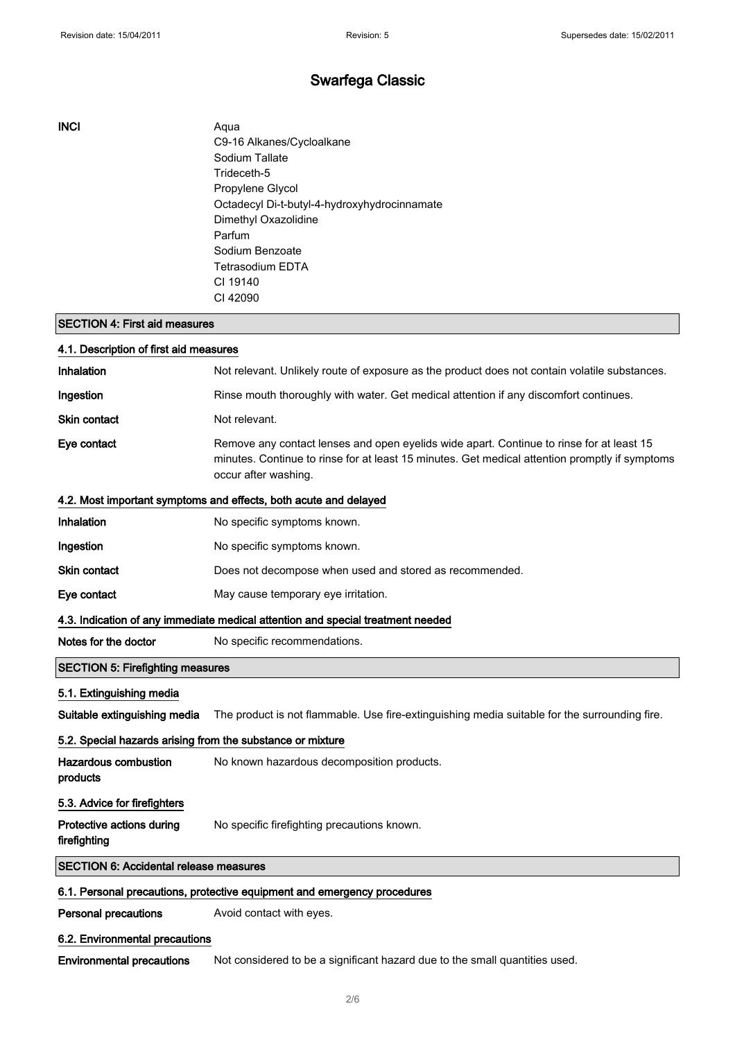#### INCI Aqua

C9-16 Alkanes/Cycloalkane Sodium Tallate Trideceth-5 Propylene Glycol Octadecyl Di-t-butyl-4-hydroxyhydrocinnamate Dimethyl Oxazolidine Parfum Sodium Benzoate Tetrasodium EDTA CI 19140 CI 42090

## SECTION 4: First aid measures

| 4.1. Description of first aid measures                                          |                                                                                                                                                                                                                    |  |
|---------------------------------------------------------------------------------|--------------------------------------------------------------------------------------------------------------------------------------------------------------------------------------------------------------------|--|
| Inhalation                                                                      | Not relevant. Unlikely route of exposure as the product does not contain volatile substances.                                                                                                                      |  |
| Ingestion                                                                       | Rinse mouth thoroughly with water. Get medical attention if any discomfort continues.                                                                                                                              |  |
| Skin contact                                                                    | Not relevant.                                                                                                                                                                                                      |  |
| Eye contact                                                                     | Remove any contact lenses and open eyelids wide apart. Continue to rinse for at least 15<br>minutes. Continue to rinse for at least 15 minutes. Get medical attention promptly if symptoms<br>occur after washing. |  |
| 4.2. Most important symptoms and effects, both acute and delayed                |                                                                                                                                                                                                                    |  |
| Inhalation                                                                      | No specific symptoms known.                                                                                                                                                                                        |  |
| Ingestion                                                                       | No specific symptoms known.                                                                                                                                                                                        |  |
| <b>Skin contact</b>                                                             | Does not decompose when used and stored as recommended.                                                                                                                                                            |  |
| Eye contact                                                                     | May cause temporary eye irritation.                                                                                                                                                                                |  |
| 4.3. Indication of any immediate medical attention and special treatment needed |                                                                                                                                                                                                                    |  |
| Notes for the doctor                                                            | No specific recommendations.                                                                                                                                                                                       |  |
| <b>SECTION 5: Firefighting measures</b>                                         |                                                                                                                                                                                                                    |  |
| 5.1. Extinguishing media                                                        |                                                                                                                                                                                                                    |  |
| Suitable extinguishing media                                                    | The product is not flammable. Use fire-extinguishing media suitable for the surrounding fire.                                                                                                                      |  |
| 5.2. Special hazards arising from the substance or mixture                      |                                                                                                                                                                                                                    |  |
| Hazardous combustion<br>products                                                | No known hazardous decomposition products.                                                                                                                                                                         |  |
| 5.3. Advice for firefighters                                                    |                                                                                                                                                                                                                    |  |
| Protective actions during<br>firefighting                                       | No specific firefighting precautions known.                                                                                                                                                                        |  |
| <b>SECTION 6: Accidental release measures</b>                                   |                                                                                                                                                                                                                    |  |
|                                                                                 | 6.1. Personal precautions, protective equipment and emergency procedures                                                                                                                                           |  |
| <b>Personal precautions</b>                                                     | Avoid contact with eyes.                                                                                                                                                                                           |  |
| 6.2. Environmental precautions                                                  |                                                                                                                                                                                                                    |  |

Environmental precautions Not considered to be a significant hazard due to the small quantities used.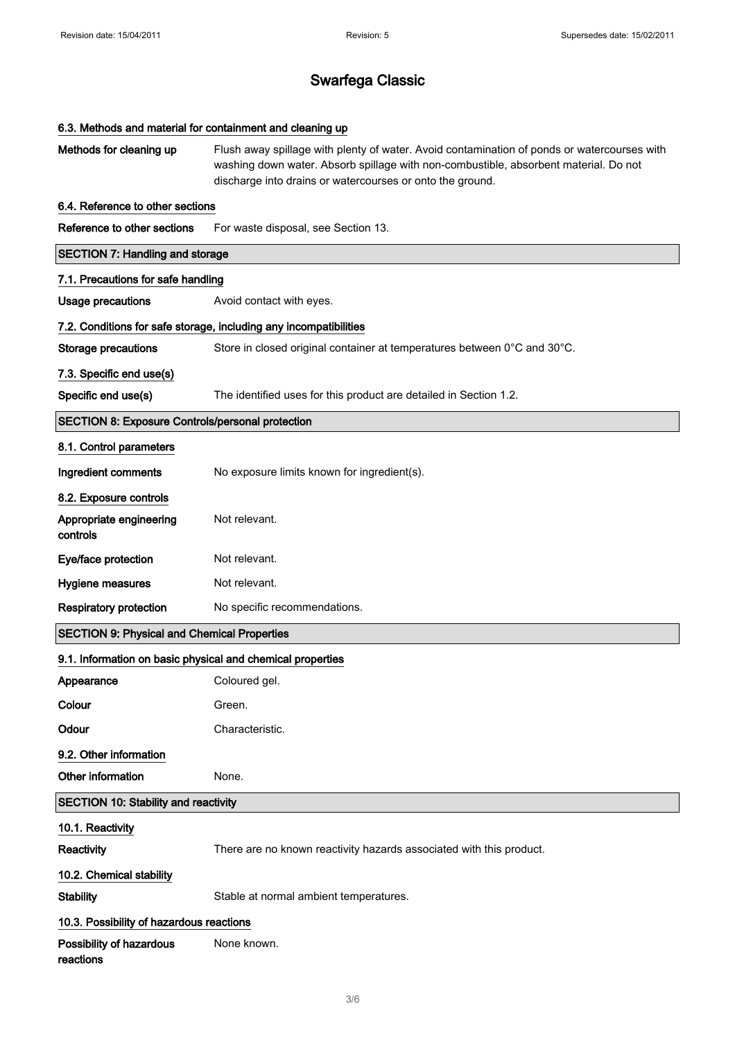| 6.3. Methods and material for containment and cleaning up         |                                                                                                                                                                                                                                                  |  |
|-------------------------------------------------------------------|--------------------------------------------------------------------------------------------------------------------------------------------------------------------------------------------------------------------------------------------------|--|
| Methods for cleaning up                                           | Flush away spillage with plenty of water. Avoid contamination of ponds or watercourses with<br>washing down water. Absorb spillage with non-combustible, absorbent material. Do not<br>discharge into drains or watercourses or onto the ground. |  |
| 6.4. Reference to other sections                                  |                                                                                                                                                                                                                                                  |  |
| Reference to other sections                                       | For waste disposal, see Section 13.                                                                                                                                                                                                              |  |
| <b>SECTION 7: Handling and storage</b>                            |                                                                                                                                                                                                                                                  |  |
| 7.1. Precautions for safe handling                                |                                                                                                                                                                                                                                                  |  |
| <b>Usage precautions</b>                                          | Avoid contact with eyes.                                                                                                                                                                                                                         |  |
| 7.2. Conditions for safe storage, including any incompatibilities |                                                                                                                                                                                                                                                  |  |
| <b>Storage precautions</b>                                        | Store in closed original container at temperatures between 0°C and 30°C.                                                                                                                                                                         |  |
| 7.3. Specific end use(s)                                          |                                                                                                                                                                                                                                                  |  |
| Specific end use(s)                                               | The identified uses for this product are detailed in Section 1.2.                                                                                                                                                                                |  |
| <b>SECTION 8: Exposure Controls/personal protection</b>           |                                                                                                                                                                                                                                                  |  |
| 8.1. Control parameters                                           |                                                                                                                                                                                                                                                  |  |
| Ingredient comments                                               | No exposure limits known for ingredient(s).                                                                                                                                                                                                      |  |
| 8.2. Exposure controls                                            |                                                                                                                                                                                                                                                  |  |
| Appropriate engineering<br>controls                               | Not relevant.                                                                                                                                                                                                                                    |  |
| Eye/face protection                                               | Not relevant.                                                                                                                                                                                                                                    |  |
| Hygiene measures                                                  | Not relevant.                                                                                                                                                                                                                                    |  |
| <b>Respiratory protection</b>                                     | No specific recommendations.                                                                                                                                                                                                                     |  |
| <b>SECTION 9: Physical and Chemical Properties</b>                |                                                                                                                                                                                                                                                  |  |
| 9.1. Information on basic physical and chemical properties        |                                                                                                                                                                                                                                                  |  |
| Appearance                                                        | Coloured gel.                                                                                                                                                                                                                                    |  |
| Colour                                                            | Green.                                                                                                                                                                                                                                           |  |
| Odour                                                             | Characteristic.                                                                                                                                                                                                                                  |  |
| 9.2. Other information                                            |                                                                                                                                                                                                                                                  |  |
| Other information                                                 | None.                                                                                                                                                                                                                                            |  |
| <b>SECTION 10: Stability and reactivity</b>                       |                                                                                                                                                                                                                                                  |  |
| 10.1. Reactivity                                                  |                                                                                                                                                                                                                                                  |  |
| Reactivity                                                        | There are no known reactivity hazards associated with this product.                                                                                                                                                                              |  |
| 10.2. Chemical stability                                          |                                                                                                                                                                                                                                                  |  |
| <b>Stability</b>                                                  | Stable at normal ambient temperatures.                                                                                                                                                                                                           |  |
| 10.3. Possibility of hazardous reactions                          |                                                                                                                                                                                                                                                  |  |
| Possibility of hazardous<br>reactions                             | None known.                                                                                                                                                                                                                                      |  |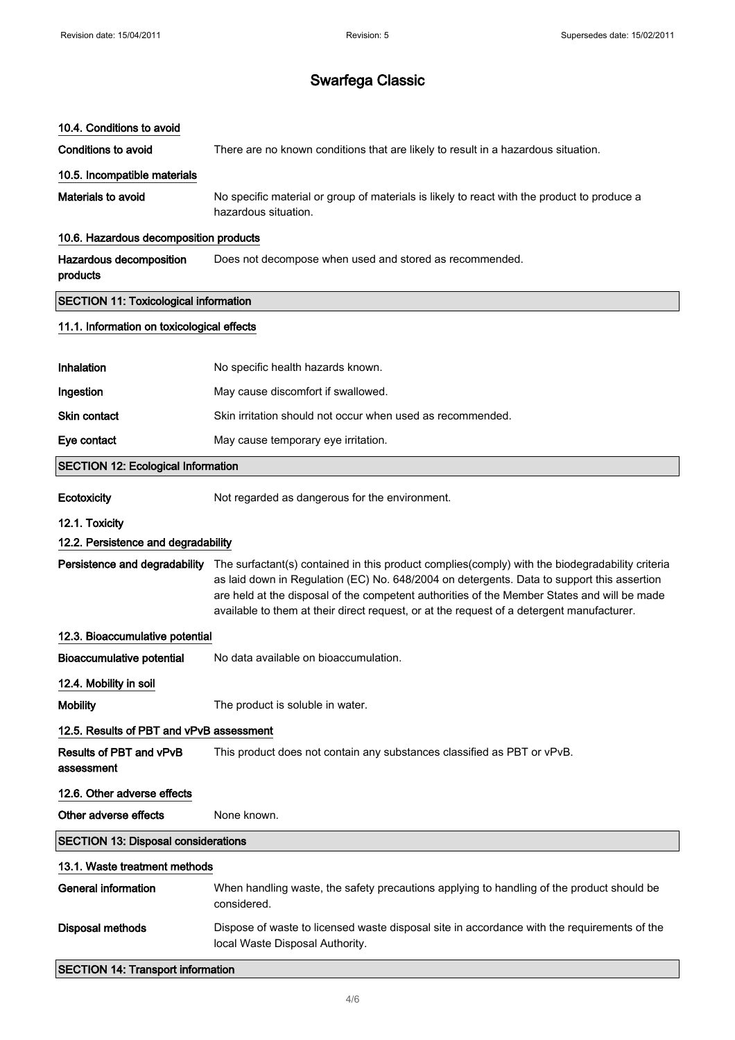| 10.4. Conditions to avoid                    |                                                                                                                                                                                                                                                                                                                                                                                                                         |  |
|----------------------------------------------|-------------------------------------------------------------------------------------------------------------------------------------------------------------------------------------------------------------------------------------------------------------------------------------------------------------------------------------------------------------------------------------------------------------------------|--|
| <b>Conditions to avoid</b>                   | There are no known conditions that are likely to result in a hazardous situation.                                                                                                                                                                                                                                                                                                                                       |  |
| 10.5. Incompatible materials                 |                                                                                                                                                                                                                                                                                                                                                                                                                         |  |
| Materials to avoid                           | No specific material or group of materials is likely to react with the product to produce a<br>hazardous situation.                                                                                                                                                                                                                                                                                                     |  |
| 10.6. Hazardous decomposition products       |                                                                                                                                                                                                                                                                                                                                                                                                                         |  |
| Hazardous decomposition<br>products          | Does not decompose when used and stored as recommended.                                                                                                                                                                                                                                                                                                                                                                 |  |
| <b>SECTION 11: Toxicological information</b> |                                                                                                                                                                                                                                                                                                                                                                                                                         |  |
| 11.1. Information on toxicological effects   |                                                                                                                                                                                                                                                                                                                                                                                                                         |  |
|                                              |                                                                                                                                                                                                                                                                                                                                                                                                                         |  |
| Inhalation                                   | No specific health hazards known.                                                                                                                                                                                                                                                                                                                                                                                       |  |
| Ingestion                                    | May cause discomfort if swallowed.                                                                                                                                                                                                                                                                                                                                                                                      |  |
| <b>Skin contact</b>                          | Skin irritation should not occur when used as recommended.                                                                                                                                                                                                                                                                                                                                                              |  |
| Eye contact                                  | May cause temporary eye irritation.                                                                                                                                                                                                                                                                                                                                                                                     |  |
| <b>SECTION 12: Ecological Information</b>    |                                                                                                                                                                                                                                                                                                                                                                                                                         |  |
| Ecotoxicity                                  | Not regarded as dangerous for the environment.                                                                                                                                                                                                                                                                                                                                                                          |  |
| 12.1. Toxicity                               |                                                                                                                                                                                                                                                                                                                                                                                                                         |  |
| 12.2. Persistence and degradability          |                                                                                                                                                                                                                                                                                                                                                                                                                         |  |
|                                              | Persistence and degradability The surfactant(s) contained in this product complies(comply) with the biodegradability criteria<br>as laid down in Regulation (EC) No. 648/2004 on detergents. Data to support this assertion<br>are held at the disposal of the competent authorities of the Member States and will be made<br>available to them at their direct request, or at the request of a detergent manufacturer. |  |
| 12.3. Bioaccumulative potential              |                                                                                                                                                                                                                                                                                                                                                                                                                         |  |
| <b>Bioaccumulative potential</b>             | No data available on bioaccumulation.                                                                                                                                                                                                                                                                                                                                                                                   |  |
| 12.4. Mobility in soil                       |                                                                                                                                                                                                                                                                                                                                                                                                                         |  |
| <b>Mobility</b>                              | The product is soluble in water.                                                                                                                                                                                                                                                                                                                                                                                        |  |
| 12.5. Results of PBT and vPvB assessment     |                                                                                                                                                                                                                                                                                                                                                                                                                         |  |
| <b>Results of PBT and vPvB</b><br>assessment | This product does not contain any substances classified as PBT or vPvB.                                                                                                                                                                                                                                                                                                                                                 |  |
| 12.6. Other adverse effects                  |                                                                                                                                                                                                                                                                                                                                                                                                                         |  |
| Other adverse effects                        | None known.                                                                                                                                                                                                                                                                                                                                                                                                             |  |
| <b>SECTION 13: Disposal considerations</b>   |                                                                                                                                                                                                                                                                                                                                                                                                                         |  |
| 13.1. Waste treatment methods                |                                                                                                                                                                                                                                                                                                                                                                                                                         |  |
| <b>General information</b>                   | When handling waste, the safety precautions applying to handling of the product should be<br>considered.                                                                                                                                                                                                                                                                                                                |  |
| <b>Disposal methods</b>                      | Dispose of waste to licensed waste disposal site in accordance with the requirements of the<br>local Waste Disposal Authority.                                                                                                                                                                                                                                                                                          |  |
| <b>SECTION 14: Transport information</b>     |                                                                                                                                                                                                                                                                                                                                                                                                                         |  |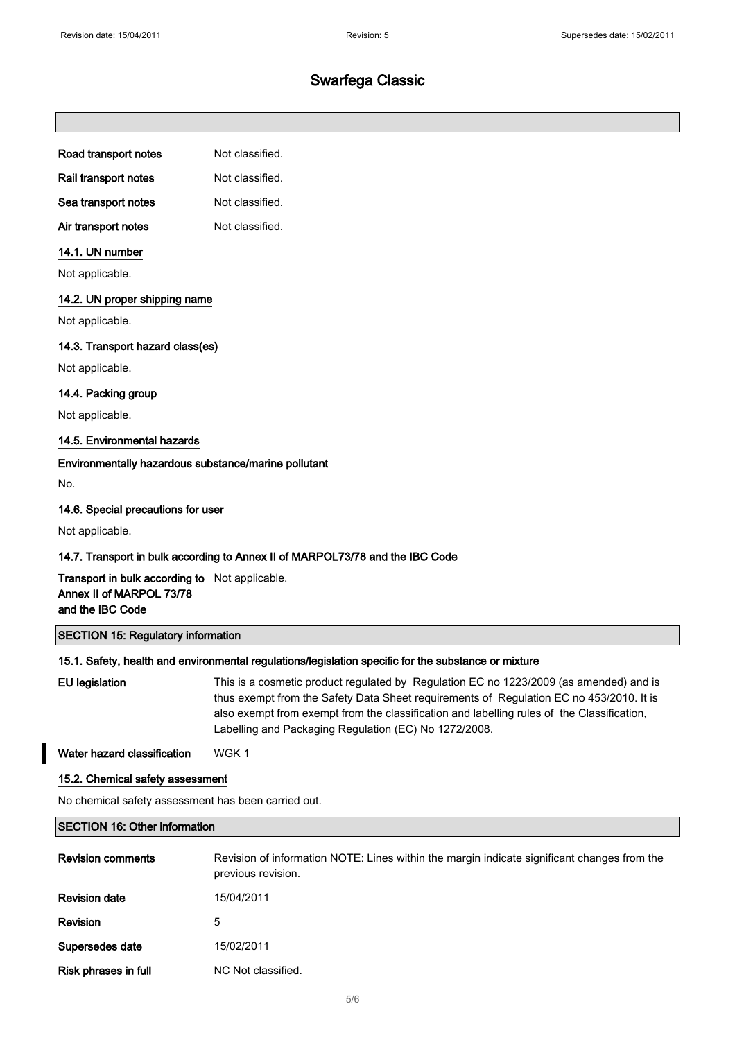#### Road transport notes Not classified.

Rail transport notes Not classified.

Sea transport notes Not classified.

Air transport notes Not classified.

#### 14.1. UN number

Not applicable.

#### 14.2. UN proper shipping name

Not applicable.

#### 14.3. Transport hazard class(es)

Not applicable.

#### 14.4. Packing group

Not applicable.

#### 14.5. Environmental hazards

#### Environmentally hazardous substance/marine pollutant

No.

#### 14.6. Special precautions for user

Not applicable.

#### 14.7. Transport in bulk according to Annex II of MARPOL73/78 and the IBC Code

Transport in bulk according to Not applicable. Annex II of MARPOL 73/78 and the IBC Code

## SECTION 15: Regulatory information

#### 15.1. Safety, health and environmental regulations/legislation specific for the substance or mixture

EU legislation This is a cosmetic product regulated by Regulation EC no 1223/2009 (as amended) and is thus exempt from the Safety Data Sheet requirements of Regulation EC no 453/2010. It is also exempt from exempt from the classification and labelling rules of the Classification, Labelling and Packaging Regulation (EC) No 1272/2008.

Water hazard classification WGK 1

#### 15.2. Chemical safety assessment

No chemical safety assessment has been carried out.

#### SECTION 16: Other information

| <b>Revision comments</b> | Revision of information NOTE: Lines within the margin indicate significant changes from the<br>previous revision. |
|--------------------------|-------------------------------------------------------------------------------------------------------------------|
| <b>Revision date</b>     | 15/04/2011                                                                                                        |
| Revision                 | 5                                                                                                                 |
| Supersedes date          | 15/02/2011                                                                                                        |
| Risk phrases in full     | NC Not classified.                                                                                                |